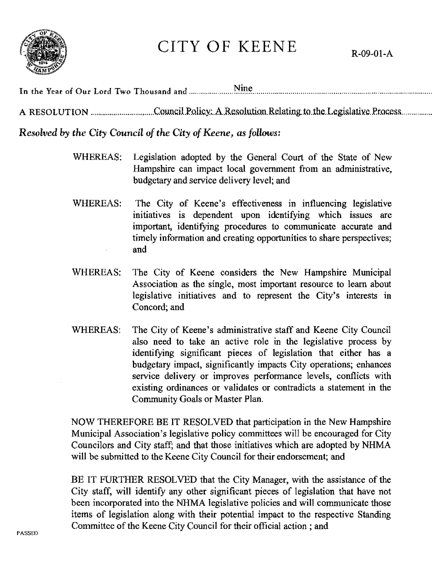

## CITY OF KEENE

Resolved by the City Council of the City of Keene, as follows:

- Legislation adopted by the General Court of the State of New WHEREAS: Hampshire can impact local government from an administrative, budgetary and service delivery level; and
- The City of Keene's effectiveness in influencing legislative **WHEREAS:** initiatives is dependent upon identifying which issues are important, identifying procedures to communicate accurate and timely information and creating opportunities to share perspectives; and
- WHEREAS: The City of Keene considers the New Hampshire Municipal Association as the single, most important resource to learn about legislative initiatives and to represent the City's interests in Concord; and
- **WHEREAS:** The City of Keene's administrative staff and Keene City Council also need to take an active role in the legislative process by identifying significant pieces of legislation that either has a budgetary impact, significantly impacts City operations; enhances service delivery or improves performance levels, conflicts with existing ordinances or validates or contradicts a statement in the Community Goals or Master Plan.

NOW THEREFORE BE IT RESOLVED that participation in the New Hampshire Municipal Association's legislative policy committees will be encouraged for City Councilors and City staff; and that those initiatives which are adopted by NHMA will be submitted to the Keene City Council for their endorsement; and

BE IT FURTHER RESOLVED that the City Manager, with the assistance of the City staff, will identify any other significant pieces of legislation that have not been incorporated into the NHMA legislative policies and will communicate those items of legislation along with their potential impact to the respective Standing Committee of the Keene City Council for their official action; and